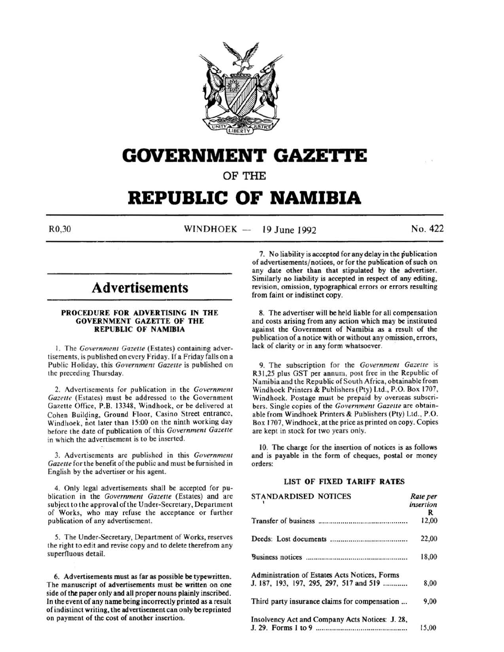

# **GOVERNMENT GAZETTE**

OF THE

## **REPUBLIC OF NAMIBIA**

 $R0,30$  WINDHOEK - 19 June 1992 No. 422

## **Advertisements**

#### PROCEDURE FOR ADVERTISING IN THE GOVERNMENT GAZETTE OF THE REPUBLIC OF NAMIBIA

1. The Government Gazette (Estates) containing advertisements, is published on every Friday. If a Friday falls on a Public Holiday, this *Government Gazette* is published on the preceding Thursday.

2. Advertisements for publication in the *Government Gazette* (Estates) must be addressed to the Government Gazette Office, P.B. 13348, Windhoek, or be delivered at Cohen Building, Ground Floor, Casino Street entrance, Windhoek, not later than 15:00 on the ninth working day before the date of publication of this *Government Gazette*  in which the advertisement is to be inserted.

3. Advertisements are published in this *Government Gazette* for the benefit of the public and must be furnished in English by the advertiser or his agent.

4. Only legal advertisements shall be accepted for publication in the *Government Gazette* (Estates) and are subject to the approval of the Under-Secretary, Department of Works, who may refuse the acceptance or further publication of any advertisement.

5. The Under-Secretary, Department of Works, reserves the right to edit and revise copy and to delete therefrom any superfluous detail.

6. Advertisements must as far as possible be typewritten. The manuscript of advertisements must be written on one side of the paper only and all proper nouns plainly inscribed. In the event of any name being incorrectly printed as a result of indistinct writing, the advertisement can only be reprinted on payment of the cost of another insertion.

7. No liability is accepted for any delay in the publication of advertisements/ notices, or for the publication of such on any date other than that stipulated by the advertiser. Similarly no liability is accepted in respect of any editing, revision, omission, typographical errors or errors resulting from faint or indistinct copy.

8. The advertiser will be held liable for all compensation and costs arising from any action which may be instituted against the Government of Namibia as a result of the publication of a notice with or without any omission, errors, lack of clarity or in any form whatsoever.

9. The subscription for the *Government Gazette* is R31,25 plus GST per annum, post free in the Republic of Namibia and the Republic of South Africa, obtainable from Windhoek Printers & Publishers (Pty) Ltd., P.O. Box 1707, Windhoek. Postage must be prepaid by overseas subscribers. Single copies of the *Government Gazette* are obtainable from Windhoek Printers & Publishers (Pty) Ltd., P.O. Box 1707, Windhoek, at the price as printed on copy. Copies are kept in stock for two years only.

10. The charge for the insertion of notices is as follows and is payable in the form of cheques, postal or money orders:

## LIST OF FIXED TARIFF RATES

| <b>STANDARDISED NOTICES</b>                     | Rate per  |
|-------------------------------------------------|-----------|
|                                                 | insertion |
|                                                 | R         |
|                                                 | 12,00     |
|                                                 | 22,00     |
|                                                 | 18,00     |
| Administration of Estates Acts Notices, Forms   |           |
| J. 187, 193, 197, 295, 297, 517 and 519         | 8,00      |
| Third party insurance claims for compensation   | 9,00      |
| Insolvency Act and Company Acts Notices: J. 28, |           |
|                                                 | 15,00     |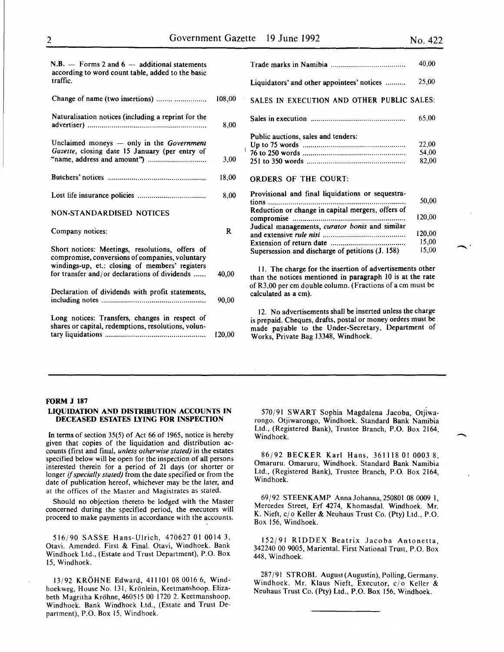-·

 $\overline{\phantom{a}}$ 

| $N.B.$ — Forms 2 and 6 — additional statements<br>according to word count table, added to the basic   |          |                                                                                                                                                                                                |
|-------------------------------------------------------------------------------------------------------|----------|------------------------------------------------------------------------------------------------------------------------------------------------------------------------------------------------|
| traffic.                                                                                              |          | Liquidators' and other appointees' notices                                                                                                                                                     |
| Change of name (two insertions)                                                                       | 108,00   | SALES IN EXECUTION AND OTHER PUBLIC                                                                                                                                                            |
| Naturalisation notices (including a reprint for the                                                   | 8,00     |                                                                                                                                                                                                |
| Unclaimed moneys $-$ only in the <i>Government</i><br>Gazette, closing date 15 January (per entry of  |          | Public auctions, sales and tenders:                                                                                                                                                            |
|                                                                                                       | 3,00     |                                                                                                                                                                                                |
|                                                                                                       | 18,00    | <b>ORDERS OF THE COURT:</b>                                                                                                                                                                    |
|                                                                                                       | 8,00     | Provisional and final liquidations or sequestra-<br>tions                                                                                                                                      |
| NON-STANDARDISED NOTICES                                                                              |          | Reduction or change in capital mergers, offers of                                                                                                                                              |
| Company notices:                                                                                      | $\bf{R}$ | Judical managements, curator bonis and similar                                                                                                                                                 |
| Short notices: Meetings, resolutions, offers of<br>compromise, conversions of companies, voluntary    |          | Supersession and discharge of petitions (J. 158)                                                                                                                                               |
| windings-up, et.: closing of members' registers<br>for transfer and/or declarations of dividends      | 40,00    | 11. The charge for the insertion of advertiseme<br>than the notices mentioned in paragraph 10 is at                                                                                            |
| Declaration of dividends with profit statements,                                                      | 90.00    | of R3,00 per cm double column. (Fractions of a cm<br>calculated as a cm).                                                                                                                      |
| Long notices: Transfers, changes in respect of<br>shares or capital, redemptions, resolutions, volun- | 120.00   | 12. No advertisements shall be inserted unless the<br>is prepaid. Cheques, drafts, postal or money order<br>made payable to the Under-Secretary, Depart<br>Works, Private Bag 13348, Windhoek. |
|                                                                                                       |          |                                                                                                                                                                                                |

|                                                                                                                                               | 40,00                              |
|-----------------------------------------------------------------------------------------------------------------------------------------------|------------------------------------|
| Liquidators' and other appointees' notices                                                                                                    | 25,00                              |
| SALES IN EXECUTION AND OTHER PUBLIC SALES:                                                                                                    |                                    |
|                                                                                                                                               | 65.00                              |
| Public auctions, sales and tenders:                                                                                                           | 22,00<br>54,00<br>82,00            |
| <b>ORDERS OF THE COURT:</b><br>Provisional and final liquidations or sequestra-<br>tions<br>Reduction or change in capital mergers, offers of | 50,00                              |
| Judical managements, curator bonis and similar<br>Supersession and discharge of petitions (J. 158)                                            | 120,00<br>120,00<br>15,00<br>15,00 |

The charge for the insertion of advertisements other the notices mentioned in paragraph 10 is at the rate  $0.00$  per cm double column. (Fractions of a cm must be lated as a cm).

No advertisements shall be inserted unless the charge epaid. Cheques, drafts, postal or money orders must be e payable to the Under-Secretary, Department of ks, Private Bag 13348, Windhoek.

#### FORM J 187

#### LIQUIDATION AND DISTRIBUTION ACCOUNTS IN DECEASED ESTATES LYING FOR INSPECTION

In terms of section 35(5) of Act 66 of 1965, notice is hereby given that copies of the liquidation and distribution accounts (first and final, *unless otherwise stated)* in the estates specified below will be open for the inspection of all persons interested therein for a period of 21 days (or shorter or longer if *specially stated)* from the date specified or from the date of publication hereof, whichever may be the later, and at the offices of the Master and Magistrates as stated.

Should no objection thereto be lodged with the Master concerned during the specified period, the executors will proceed to make payments in accordance with the accounts.

516/90 SASSE Hans-Ulrich, 470627 01 0014 3, Otavi. Amended. First & Final. Otavi, Windhoek. Bank Windhoek Ltd., (Estate and Trust Department), P.O. Box 15, Windhoek.

13/92 KROHNE Edward, 41110108 0016 6, Windhoekweg, House No. 131, Krönlein, Keetmanshoop. Elizabeth Magritha Krohne, 460515 00 1720 2. Keetmanshoop, Windhoek. Bank Windhoek Ltd., (Estate and Trust Department), P.O. Box 15, Windhoek.

570/91 SWART Sophia Magdalena Jacoba, Otjiwarongo. Otjiwarongo, Windhoek. Standard Bank Namibia Ltd., (Registered Bank), Trustee Branch, P.O. Box 2164, Windhoek.

86/92 BECKER Karl Hans, 361118 01 0003 8, Omaruru. Omaruru, Windhoek. Standard Bank Namibia Ltd., (Registered Bank), Trustee Branch, P.O. Box 2164, Windhoek.

69/92 STEENKAMP Anna Johanna, 250801 08 0009 I, Mercedes Street, Erf 4274, Khomasdal. Windhoek. Mr. K. Nieft,  $c/\sigma$  Keller & Neuhaus Trust Co. (Pty) Ltd., P.O. Box 156, Windhoek.

152/91 RIDDEX Beatrix Jacoba Antonetta, 342240 00 9005, Mariental. First National Trust, P.O. Box 448, Windhoek.

287/91 STROBL August(Augustin),Polling,Germany. Windhoek. Mr. Klaus Nieft, Executor, c/o Keller & Neuhaus Trust Co. (Pty) Ltd., P.O. Box 156, Windhoek.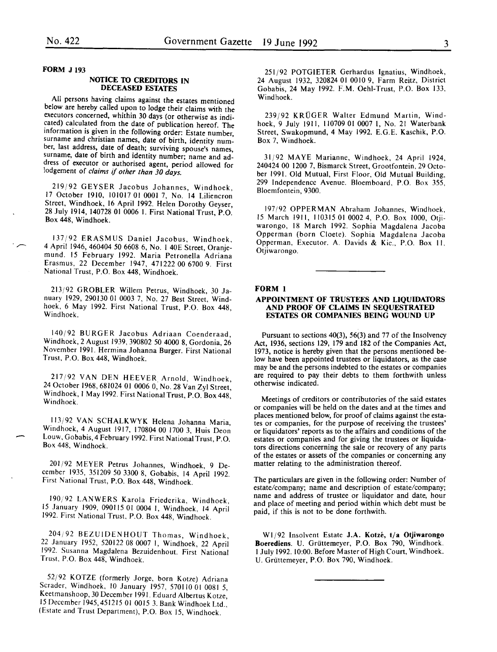#### FORM J 193

#### NOTICE TO CREDITORS IN DECEASED ESTATES

All persons having claims against the estates mentioned below are hereby called upon to lodge their claims with the executors concerned, whithin 30 days (or otherwise as indicated) calculated from the date of publication hereof. The information is given in the following order: Estate number, surname and christian names, date of birth, identity number, last address, date of death; surviving spouse's names, surname, date of birth and identity number; name and address of executor or authorised agent, period allowed for lodgement of *claims* if *other than 30 days.* 

219/92 GEYSER Jacobus Johannes, Windhoek, 17 October 1910, 101017 01 0001 7, No. 14 Liliencron Street, Windhoek, 16 April 1992. Helen Dorothy Geyser, 28 July 1914, 140728 01 0006 I. First National Trust, P.O. Box 448, Windhoek.

137/92 ERASMUS Daniel Jacobus, Windhoek, 4 April 1946, 460404 *50* 6608 6, No. I 40E Street, Oranjemund. 15 February 1992. Maria Petronella Adriana Erasmus, 22 December 1947, 471222 00 6700 9. First National Trust, P.O. Box 448, Windhoek.

213/92 GROBLER Willem Petrus, Windhoek, 30 January 1929, 290130 01 0003 7, No. 27 Best Street, Windhoek, 6 May 1992. First National Trust, P.O. Box 448, Windhoek.

140/92 BURGER Jacobus Adriaan Coenderaad, Windhoek, 2 August 1939, 390802 *50* 4000 8, Gordonia, 26 November 1991. Hermina Johanna Burger. First National Trust, P.O. Box 448, Windhoek.

217/92 VAN DEN HEEVER Arnold, Windhoek, 24 October 1968, 681024 01 0006 0, No. 28 Van Zyl Street, Wmdhoek, I May 1992. First National Trust, P.O. Box448, Windhoek.

113/92 VAN SCHALKWYK Helena Johanna Maria Windhoek, 4 August 1917, 170804 00 1700 3, Huis Deon Louw, Gobabis, 4 February 1992. First National Trust, P.O. Box 448, Windhoek.

201/92 MEYER Petrus Johannes, Windhoek, 9 December 1935, 351209 *50* 3300 8, Gobabis, 14 April 1992. First National Trust, P.O. Box 448, Windhoek.

190/92 LANWERS Karola Friederika, Windhoek, 15 January 1909, 090115 01 0004 1, Windhoek, 14 April 1992. First National Trust, P.O. Box 448, Windhoek.

204/92 BEZUIDENHOUT Thomas, Windhoek, 22 January 1952, 520122 08 0007 I, Windhoek, 22 Aprii 1992. Susanna Magdalena Bezuidenhout. First National Trust, P.O. Box 448, Windhoek.

52/92 KOTZE (formerly Jorge, born Kotze) Adriana Scrader, Windhoek, 10 January 1957, 570110 01 0081 *5,*  Keetmanshoop, 30 December 1991. Eduard Albertus Kotze, 15 December 1945, 451215 01 0015 3. Bank Windhoek Ltd., (Estate and Trust Department), P.O. Box 15, Windhoek.

251/92 POTGIETER Gerhardus Ignatius, Windhoek, 24 August 1932, 320824 01 0010 9, Farm Reitz, District Gobabis, 24 May 1992. F.M. Oehi-Trust, P.O. Box 133, Windhoek.

239/92 KRÜGER Walter Edmund Martin, Windhoek, 9 July 1911, 110709 01 0007 I, No. 21 Waterbank Street, Swakopmund, 4 May 1992. E.G.E. Kaschik, P.O. Box 7, Windhoek.

31/92 MAYE Marianne, Windhoek, 24 April 1924, 240424 00 1200 7, Bismarck Street, Grootfontein, 29 October 1991. Old Mutual, First Floor, Old Mutual Building, 299 Independence Avenue. Bloemboard, P.O. Box 355, Bloemfontein, 9300.

197/92 OPPERMAN Abraham Johannes, Windhoek, 15 March 1911, 110315 01 0002 4, P.O. Box 1000, Otjiwarongo, 18 March 1992. Sophia Magdalena Jacoba Opperman (born Cloete). Sophia Magdalena Jacoba Opperman, Executor. A. Davids & Kie., P.O. Box II. Otjiwarongo.

## FORM 1

#### APPOINTMENT OF TRUSTEES AND LIQUIDATORS AND PROOF OF CLAIMS IN SEQUESTRATED ESTATES OR COMPANIES BEING WOUND UP

Pursuant to sections 40(3), 56(3) and 77 of the Insolvency Act, 1936, sections 129, 179 and 182 of the Companies Act, 1973, notice is hereby given that the persons mentioned below have been appointed trustees or liquidators, as the case may be and the persons indebted to the estates or companies are required to pay their debts to them forthwith unless otherwise indicated.

Meetings of creditors or contributories of the said estates or companies will be held on the dates and at the times and places mentioned below, for proof of claims against the estates or companies, for the purpose of receiving the trustees' or liquidators' reports as to the affairs and conditions of the estates or companies and for giving the trustees or liquidators directions concerning the sale or recovery of any parts of the estates or assets of the companies or concerning any matter relating to the administration thereof.

The particulars are given in the following order: Number of estate/company; name and description of estate/company; name and address of trustee or liquidator and date, hour and place of meeting and period within which debt must be paid, if this is not to be done forthwith.

W1/92 Insolvent Estate J.A. Kotzé, t/a Otjiwarongo Boerediens. U. Grüttemeyer, P.O. Box 790, Windhoek. I July 1992. 10:00. Before Master of High Court, Windhoek. U. Griittemeyer, P.O. Box 790, Windhoek.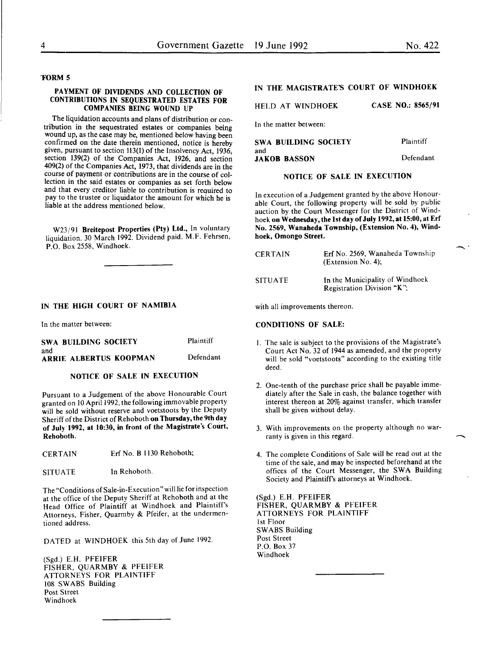#### 'FORM 5

#### PAYMENT OF DIVIDENDS AND COLLECTION OF CONTRIBUTIONS IN SEQUESTRATED ESTATES FOR COMPANIES BEING WOUND UP

The liquidation accounts and plans of distribution or contribution in the sequestrated estates or companies being wound up, as the case may be, mentioned below having been confirmed on the date therein mentioned, notice is hereby given, pursuant to section 113(1) of the Insolvency Act, 1936, section 139(2) of the Companies Act, 1926, and section 409(2) of the Companies Act, 1973, that dividends are in the course of payment or contributions are in the course of collection in the said estates or companies as set forth below and that every creditor liable to contribution is reauired to pay to the trustee or liquidator the amount for which he is liable at the address mentioned below.

W23/91 Breitepost Properties (Pty) Ltd., In voluntary liquidation. 30 March 1992. Dividend paid. M.F. Fehrsen, P.O. Box 2558, Windhoek.

#### IN THE HIGH COURT OF NAMIBIA

In the matter between:

| SWA BUILDING SOCIETY          | Plaintiff |
|-------------------------------|-----------|
| and<br>ARRIE ALBERTUS KOOPMAN | Defendant |

#### NOTICE OF SALE IN EXECUTION

Pursuant to a Judgement of the above Honourable Court granted on 10 April 1992, the following immovable property will be sold without reserve and voetstoots by the Deputy Sheriff of the District of Rehoboth on Thursday, the 9th day of July'1992, at 10:30, in front of the Magistrate's Court, Rehoboth.

- CERTAIN Erf No. B 1130 Rehoboth;
- SITUATE In Rehoboth.

The "Conditions of Sale-in-Execution" will lie for inspection at the office of the Deputy Sheriff at Rehoboth and at the Head Office of Plaintiff at Windhoek and Plaintiff's Attorneys, Fisher, Quarmby & Pfeifer, at the undermentioned address.

DATED at WINDHOEK this 5th day of June 1992.

(Sgd.) E.H. PFEIFER FISHER, QUARMBY & PFEIFER ATTORNEYS FOR PLAINTIFF 108 SWABS Building Post Street Windhoek

## IN THE MAGISTRATE'S COURT OF WINDHOEK

HELD AT WINDHOEK CASE NO.: 8565/91

In the matter between:

| SWA BUILDING SOCIETY | Plaintiff |
|----------------------|-----------|
| and                  |           |
| <b>JAKOB BASSON</b>  | Defendant |

## NOTICE OF SALE IN EXECUTION

In execution of a Judgement granted by the above Honourable Court, the following property will be sold by public auction by the Court Messenger for the District of Windhoek on Wednesday, the 1st day of July 1992, at 15:00, at Erf No. 2569, Wanaheda Township, (Extension No.4), Windhoek, Omongo Street.

| <b>CERTAIN</b> | Erf No. 2569. Wanaheda Township<br>(Extension No. 4);         |
|----------------|---------------------------------------------------------------|
| <b>SITUATE</b> | In the Municipality of Windhoek<br>Registration Division "K"; |

with all improvements thereon.

#### CONDITIONS OF SALE:

- I. The sale is subject to the provisions of the Magistrate's Court Act No. 32 of 1944 as amended, and the property will be sold "voetstoots" according to the existing title deed.
- 2. One-tenth of the purchase price shall be payable immediately after the Sale in cash, the balance together with interest thereon at 20% against transfer, which transfer shall be given without delay.
- 3. With improvements on the property although no warranty is given in this regard.
- 4. The complete Conditions of Sale will be read out at the time of the sale, and may be inspected beforehand at the offices of the Court Messenger, the SWA Building Society and Plaintiff's attorneys at Windhoek.

(Sgd.) E.H. PFEIFER FISHER, QUARMBY & PFEIFER ATTORNEYS FOR PLAINTIFF 1st Floor SWABS Building Post Street P.O. Box 37 Windhoek

 $\hat{\phantom{a}}$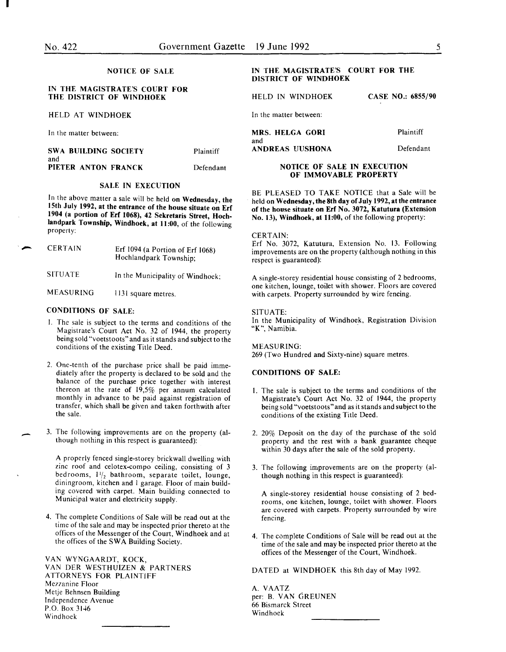I

 $\overline{\phantom{a}}$ 

-

#### NOTICE OF SALE

#### IN THE MAGISTRATE'S COURT FOR THE DISTRICT OF WINDHOEK

HELD AT WINDHOEK

In the matter between:

SWA BUILDING SOCIETY and PIETER ANTON FRANCK Plaintiff Defendant

#### SALE IN EXECUTION

In the above matter a sale will be held on Wednesday, the 15th July 1992, at the entrance of the house situate on Erf 1904 (a portion of Erf 1068), 42 Sekretaris Street, Hochlandpark Township, Windhoek, at 11:00, of the following property:

| <b>CERTAIN</b>   | Erf $1094$ (a Portion of Erf $1068$ )<br>Hochlandpark Township; |
|------------------|-----------------------------------------------------------------|
| <b>SITUATE</b>   | In the Municipality of Windhoek;                                |
| <b>MEASURING</b> | 1131 square metres.                                             |

#### CONDITIONS OF SALE:

- I. The sale is subject to the terms and conditions of the Magistrate's Court Act No. 32 of I944, the property being sold "voetstoots" and as it stands and subject to the conditions of the existing Title Deed.
- 2. One-tenth of the purchase price shall be paid immediately after the property is declared to be sold and the balance of the purchase price together with interest thereon at the rate of 19,5% per annum calculated monthly in advance to be paid against registration of transfer, which shall be given and taken forthwith after the sale.
- 3. The following improvements are on the property (although nothing in this respect is guaranteed):

A properly fenced single-storey brickwall dwelling with zinc roof and celotex-compo ceiling, consisting of 3 bedrooms,  $1\frac{1}{2}$  bathroom, separate toilet, lounge, diningroom, kitchen and I garage. Floor of main building covered with carpet. Main building connected to Municipal water and electricity supply.

4. The complete Conditions of Sale will be read out at the time of the sale and may be inspected prior thereto at the offices of the Messenger of the Court, Windhoek and at the offices of the SWA Building Society.

VAN WYNGAARDT, KOCK, VAN DER WESTHUIZEN & PARTNERS ATTORNEYS FOR PLAINTIFF Mezzanine Floor Metje Behnsen Building Independence Avenue P.O. Box 3146 Windhoek

### IN THE MAGISTRATE'S COURT FOR THE DISTRICT OF WINDHOEK

HELD IN WINDHOEK

CASE NO.: 6855/90

In the matter between:

| <b>MRS. HELGA GORI</b> | <b>Plaintiff</b> |
|------------------------|------------------|
| and                    |                  |
| ANDREAS UUSHONA        | Defendant        |

#### NOTICE OF SALE IN EXECUTION OF IMMOVABLE PROPERTY

BE PLEASED TO TAKE NOTICE that a Sale will be held on Wednesday, the 8th day of July 1992, at the entrance of the house situate on Erf No. 3072, Katutura (Extension No. 13), Windhoek, at 11:00, of the following property:

#### CERTAIN:

Erf No. 3072, Katutura, Extension No. 13. Following improvements are on the property (although nothing in this respect is guaranteed):

A single-storey residential house consisting of 2 bedrooms, one kitchen, lounge, toilet with shower. Floors are covered with carpets. Property surrounded by wire fencing.

#### SITUATE:

In the Municipality of Windhoek, Registration Division "K", Namibia.

MEASURING: 269 (Two Hundred and Sixty-nine) square metres.

#### CONDITIONS OF SALE:

- I. The sale is subject to the terms and conditions of the Magistrate's Court Act No. 32 of 1944, the property being sold "voetstoots" and as it stands and subject to the conditions of the existing Title Deed.
- 2. 20% Deposit on the day of the purchase of the sold property and the rest with a bank guarantee cheque within 30 days after the sale of the sold property.
- 3. The following improvements are on the property (although nothing in this respect is guaranteed):

A single-storey residential house consisting of 2 bedrooms, one kitchen, lounge, toilet with shower. Floors are covered with carpets. Property surrounded by wire fencing.

4. The complete Conditions of Sale will be read out at the time of the sale and may be inspected prior thereto at the offices of the Messenger of the Court, Windhoek.

DATED at WINDHOEK this 8th day of May 1992.

A. VAATZ per: B. VAN GREUNEN 66 Bismarck Street Windhoek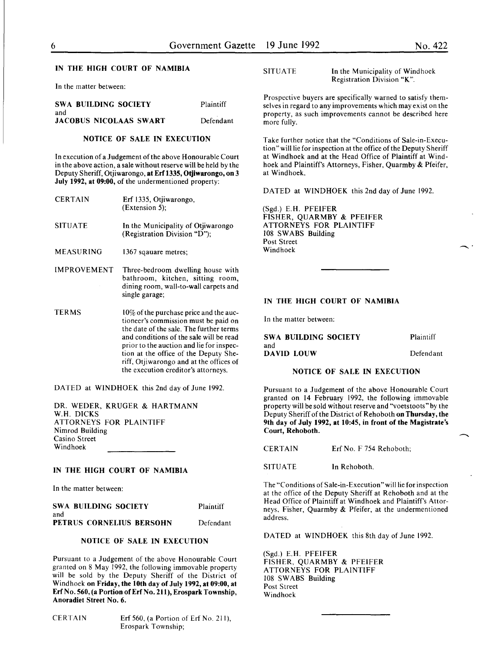#### IN THE HIGH COURT OF NAMIBIA

In the matter between:

| SWA BUILDING SOCIETY          | Plaintiff  |
|-------------------------------|------------|
| and                           |            |
| <b>JACOBUS NICOLAAS SWART</b> | Defendant. |

#### NOTICE OF SALE IN EXECUTION

In execution of a Judgement of the above Honourable Court in the above action, a sale without reserve will be held by the Deputy Sheriff, Otjiwarongo, at Erf 1335, Otjiwarongo, on 3 July 1992, at 09:00, of the undermentioned property:

| <b>CERTAIN</b>     | Erf 1335, Otiiwarongo,<br>$(Extension 5)$ :                                                                                      |
|--------------------|----------------------------------------------------------------------------------------------------------------------------------|
| <b>SITUATE</b>     | In the Municipality of Otjiwarongo<br>(Registration Division "D");                                                               |
| <b>MEASURING</b>   | 1367 sqauare metres;                                                                                                             |
| <b>IMPROVEMENT</b> | Three-bedroom dwelling house with<br>bathroom, kitchen, sitting room,<br>dining room, wall-to-wall carpets and<br>single garage: |
| <b>TERMS</b>       | $10\%$ of the purchase price and the auc-<br>tioneer's commission must be paid on<br>the date of the sale. The further terms     |

the date of the sale. The further terms and conditions of the sale will be read prior to the auction and lie for inspection at the office of the Deputy Sheriff, Otjiwarongo and at the offices of the execution creditor's attorneys.

DATED at WINDHOEK this 2nd day of June 1992.

DR. WEDER, KRUGER & HARTMANN W.H. DICKS ATTORNEYS FOR PLAINTIFF Nimrod Building Casino Street Windhoek

#### IN THE HIGH COURT OF NAMIBIA

In the matter between:

| SWA BUILDING SOCIETY     | Plaintiff |
|--------------------------|-----------|
| and                      |           |
| PETRUS CORNELIUS BERSOHN | Defendant |

#### NOTICE OF SALE IN EXECUTION

Pursuant to a Judgement of the above Honourable Court granted on 8 May 1992, the following immovable property will be sold by the Deputy Sheriff of the District of Windhoek on Friday, the 10th day of July 1992, at 09:00, at Erf No. 560, (a Portion of Erf No. 211 ), Erospark Township, Anoradiet Street No.6.

CERTAIN Erf 560, (a Portion of Erf No. 211), Erospark Township;

SITUATE In the Municipality of Windhoek Registration Division "K".

Prospective buyers are specifically warned to satisfy themselves in regard to any improvements which may exist on the property, as such improvements cannot be described here more fully.

Take further notice that the "Conditions of Sale-in-Execution" will lie for inspection at the office of the Deputy Sheriff at Windhoek and at the Head Office of Plaintiff at Windhoek and Plaintiff's Attorneys, Fisher, Quarmby & Pfeifer, at Windhoek.

DATED at WINDHOEK this 2nd day of June 1992.

(Sgd.) E.H. PFEIFER FISHER, QUARMBY & PFEIFER ATTORNEYS FOR PLAINTIFF 108 SWABS Building Post Street Windhoek

#### IN THE HIGH COURT OF NAMIBIA

In the matter between:

SWA BUILDING SOCIETY and DAVID LOUW Plaintiff Defendant

#### NOTICE OF SALE IN EXECUTION

Pursuant to a Judgement of the above Honourable Court granted on 14 February 1992, the following immovable property will be sold without reserve and "voetstoots" by the Deputy Sheriff of the District of Rehoboth on Thursday, the 9th day of July 1992, at 10:45, in front of the Magistrate's Court, Rehoboth.

CERTAIN Erf No. F 754 Rehoboth;

SITUATE In Rehoboth.

The "Conditions of Sale-in-Execution" will lie for inspection at the office of the Deputy Sheriff at Rehoboth and at the Head Office of Plaintiff at Windhoek and Plaintiff's Attorneys, Fisher, Quarmby & Pfeifer, at the undermentioned address.

DATED at WINDHOEK this 8th day of June 1992.

(Sgd.) E.H. PFEIFER FISHER, QUARMBY & PFEIFER ATTORNEYS FOR PLAINTIFF 108 SWABS Building Post Street Windhoek

 $\hat{\phantom{a}}$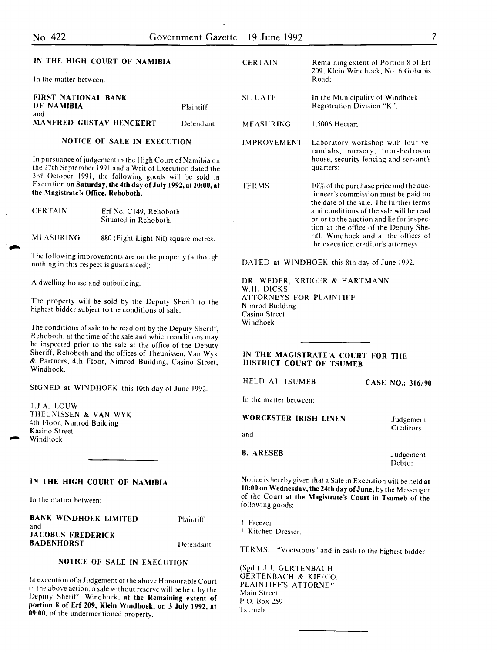## IN THE HIGH COURT OF NAMIBIA

In the matter between:

| <b>FIRST NATIONAL BANK</b><br>OF NAMIBIA | Plaintiff |
|------------------------------------------|-----------|
| and<br><b>MANFRED GUSTAV HENCKERT</b>    | Defendant |

## NOTICE OF SALE IN EXECUTION

In pursuance of judgement in the High Court of Namibia on the 27th September 1991 and a Writ of Execution dated the 3rd October 1991, the following goods will be sold in Execution on Saturday, the 4th day of July 1992, at 10:00, at the Magistrate's Office, Rehoboth.

| <b>CERTAIN</b> | Erf No. C149, Rehoboth |
|----------------|------------------------|
|                | Situated in Rehoboth.  |

MEASURING 880 (Eight Eight Nil) square metres.

The following improvements are on the property (although nothing in this respect is guaranteed):

A dwelling house and outbuilding.

The property will be sold by the Deputy Sheriff to the highest bidder subject to the conditions of sale.

The conditions of sale to be read out by the Deputy Sheriff, Rehoboth, at the time of the sale and which conditions may be inspected prior to the sale at the office of the Deputy Sheriff, Rehoboth and the offices of Theunissen, Van Wyk & Partners, 4th Floor, Nimrod Building, Casino Street, Windhoek.

SIGNED at WINDHOEK this lOth day of June 1992.

T.J.A. LOUW THEUNISSEN & VAN WYK 4th Floor, Nimrod Building Kasino Street Windhoek

## IN THE HIGH COURT OF NAMIBIA

In the matter between:

#### BANK WINDHOEK LIMITED and JACOBUS FREDERICK **BADENHORST** Plaintiff

Defendant

## NOTICE OF SALE IN EXECUTION

In execution of a Judgement of the above Honourable Court in the above action, a sale without reserve will be held by the Deputy Sheriff, Windhoek, at the Remaining extent of portion 8 of Erf 209, Klein Windhoek, on 3 July 1992, at 09:00, of the undermentioncd property.

| <b>CERTAIN</b>     | <b>Remaining extent of Portion 8 of Erf</b><br>209, Klein Windhoek, No. 6 Gobabis<br>Road:                                                                                                                                                                                                                                                  |
|--------------------|---------------------------------------------------------------------------------------------------------------------------------------------------------------------------------------------------------------------------------------------------------------------------------------------------------------------------------------------|
| <b>SITUATE</b>     | In the Municipality of Windhoek<br>Registration Division "K":                                                                                                                                                                                                                                                                               |
| MEASURING          | $1,5006$ Hectar:                                                                                                                                                                                                                                                                                                                            |
| <b>IMPROVEMENT</b> | Laboratory workshop with four ve-<br>randahs, nursery, four-bedroom<br>house, security fencing and servant's<br>quarters;                                                                                                                                                                                                                   |
| <b>TERMS</b>       | $10\%$ of the purchase price and the auc-<br>tioneer's commission must be paid on<br>the date of the sale. The further terms<br>and conditions of the sale will be read<br>prior to the auction and lie for inspec-<br>tion at the office of the Deputy She-<br>riff, Windhoek and at the offices of<br>the execution creditor's attorneys. |

DATED at WINDHOEK this 8th day of June 1992.

DR. WEDER, KRUGER & HARTMANN W.H. DICKS ATTORNEYS FOR PLAINTIFF Nimrod Building Casino Street Windhoek

#### IN THE MAGISTRATE'A COURT FOR THE DISTRICT COURT OF TSUMEB

HELD AT TSUMEB

In the matter between:

WORCESTER IRISH LINEN

CASE NO.: 316/90

and

B. ARESEB

Judgement Debtor

Judgement **Creditors** 

Notice is hereby given that a Sale in Execution will be held at 10:00 on Wednesday, the 24th day of June, by the Messenger of the Court at the Magistrate's Court in Tsumeb of the following goods:

Freezer Kitchen Dresser.

TERMS: "Voetstoots" and in cash to the highest bidder.

(Sgd.) J.J. GERTENBACH GERTENBACH & KIE/CO. PLAINTIFF'S ATTORNEY Main Street P.O. Box 259 Tsumeb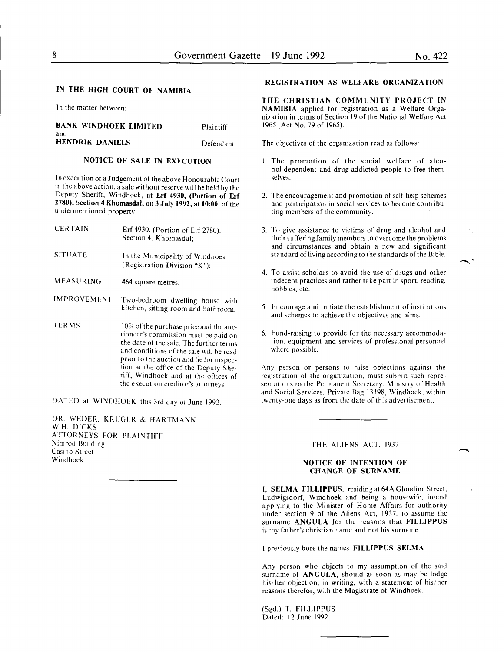In the matter between:

#### BANK WINDHOEK LIMITED and Plaintiff HENDRIK DANIELS Defendant

## NOTICE OF SALE IN EXECUTION

In execution of a Judgement of the above Honourable Court in the above action, a sale without reserve will be held by the Deputy Sheriff, Windhoek, at Erf 4930, (Portion of Erf 2780), Section 4 Khomasdal, on 3 July 1992, at 10:00, of the undermentioned property:

- CERTAIN Erf 4930, (Portion of Erf 2780), Section 4, Khomasdal;
- SITUATE In the Municipality of Windhoek (Registration Division "K ");
- MEASURING 464 square metres;
- IMPROVEMENT Two-bedroom dwelling house with kitchen, sitting-room and bathroom.
- TERMS  $10\%$  of the purchase price and the auctioneer's commission must be paid on the date of the sale. The further terms and conditions of the sale will be read prior to the auction and lie for inspection at the office of the Deputy Sheriff, Windhoek and at the offices of the execution creditor's attorneys.

DATED at WINDHOEK this 3rd day of June 1992.

DR. WEDER, KRUGER & HARTMANN W.H. DICKS ATTORNEYS FOR PLAINTIFF Nimrod Building Casino Street Windhoek

## REGISTRATION AS WELFARE ORGANIZATION

THE CHRISTIAN COMMUNITY PROJECT IN NAMIBIA applied for registration as a Welfare Organization in terms of Section 19 of the National Welfare Act 1965 (Act No. 79 of 1965).

The objectives of the organization read as follows:

- I. The promotion of the social welfare of alcohol-dependent and drug-addicted people to free themselves.
- 2. The encouragement and promotion of self-help schemes and participation in social services to become contributing members of the community.
- 3. To give assistance to victims of drug and alcohol and their suffering family members to overcome the problems and circumstances and obtain a new and significant standard of living according to the standards of the Bible.
- 4. To assist scholars to avoid the use of drugs and other indecent practices and rather take part in sport, reading, hobbies, etc.
- 5. Encourage and initiate the establishment of institutions and schemes to achieve the objectives and aims.
- 6. Fund-raising to provide for the necessary accommodation, equipment and services of professional personnel where possible.

Any person or persons to raise objections against the registration of the organization, must submit such representations to the Permanent Secretary: Ministry of Health and Social Services, Private Bag 13198, Windhoek. within twenty-one days as from the date of this advertisement.

#### THE ALIENS ACT, 1937

-

#### NOTICE OF INTENTION OF CHANGE OF SURNAME

I, SELMA FILLIPPUS, residing at 64A Gloudina Street, Ludwigsdorf, Windhoek and being a housewife, intend applying to the Minister of Home Affairs for authority under section 9 of the Aliens Act, 1937. to assume the surname ANGULA for the reasons that FILLIPPUS is my father's christian name and not his surname.

I previously bore the names FILLIPPUS SELMA

Any person who objects to my assumption of the said surname of ANGULA, should as soon as may he lodge his/her objection, in writing, with a statement of his/her reasons therefor, with the Magistrate of Windhoek.

(Sgd.) T. FILLIPPUS Dated: 12 June 1992.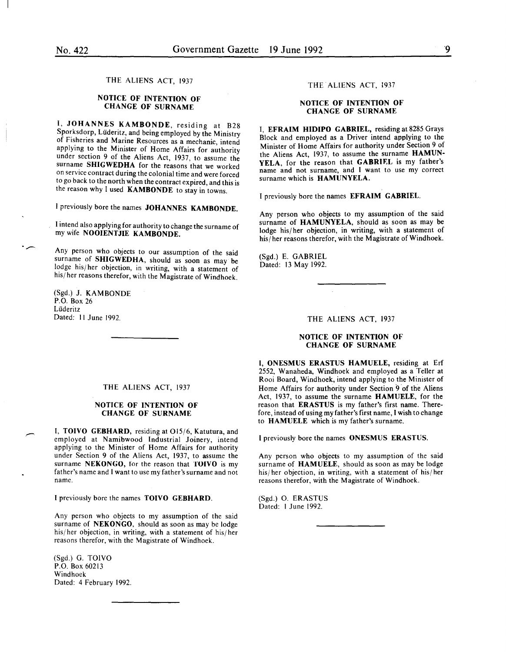#### THE ALIENS ACT, 1937

#### NOTICE OF INTENTION OF CHANGE OF SURNAME

I, JOHANNES KAMBONDE, residing at B28 Sporksdorp, Lüderitz, and being employed by the Ministry of Fisheries and Marine Resources as a mechanic, intend applying to the Minister of Home Affairs for authority under section 9 of the Aliens Act, 1937, to assume the surname SHIGWEDHA for the reasons that we worked on service contract during the colonial time and were forced to go back to the north when the contract expired, and this is the reason why I used KAMBONDE to stay in towns.

I previously bore the names JOHANNES KAMBONDE.

I intend also applying for authority to change the surname of my wife NOOIENTJIE KAMBONDE.

Any person who objects to our assumption of the said surname of SHIGWEDHA, should as soon as may be lodge his/her objection, in writing, with a statement of his/ her reasons therefor, with the Magistrate of Windhoek.

(Sgd.) J. KAMBONDE P.O. Box 26 Liideritz Dated: II June 1992.

·-

#### THE ALIENS ACT, 1937

#### NOTICE OF INTENTION OF CHANGE OF SURNAME

I, TOIVO GEBHARD, residing at 015/6, Katutura, and employed at Namibwood Industrial Joinery, intend applying to the Minister of Home Affairs for authority under Section 9 of the Aliens Act, 1937, to assume the surname NEKONGO, for the reason that TOIVO is my father's name and I want to use my father's surname and not name.

I previously bore the names TOIVO GEBHARD.

Any person who objects to my assumption of the said surname of NEKONGO, should as soon as may be lodge his/her objection, in writing, with a statement of his/her reasons therefor, with the Magistrate of Windhoek.

(Sgd.) G. TOIVO P.O. Box 60213 Windhoek Dated: 4 February 1992.

#### THE ALIENS ACT, 1937

#### NOTICE OF INTENTION OF CHANGE OF SURNAME

I, EFRAIM HIDIPO GABRIEL, residing at 8285 Grays Block and employed as a Driver intend applying to the Minister of Home Affairs for authority under Section 9 of the Aliens Act, 1937, to assume the surname HAMUN-YELA, for the reason that GABRIEL is my father's name and not surname, and I want to use my correct surname which is HAMUNYELA.

I previously bore the names EFRAIM GABRIEL.

Any person who objects to my assumption of the said surname of HAMUNYELA, should as soon as may be lodge his/her objection, in writing, with a statement of his/her reasons therefor, with the Magistrate of Windhoek.

(Sgd.) E. GABRIEL Dated: 13 May 1992.

#### THE ALIENS ACT, 1937

#### NOTICE OF INTENTION OF CHANGE OF SURNAME

I, ONESMUS ERASTUS HAMUELE, residing at Erf 2552, Wanaheda, Windhoek and employed as a Teller at Rooi Board, Windhoek, intend applying to the Minister of Home Affairs for authority under Section 9 of the Aliens Act, 1937, to assume the surname HAMUELE, for the reason that ERASTUS is my father's first name. Therefore, instead of using my father's first name, I wish to change to HAMUELE which is my father's surname.

I previously bore the names ONESMUS ERASTUS.

Any person who objects to my assumption of the said surname of HAMUELE, should as soon as may be lodge his/ her objection, in writing, with a statement of his/ her reasons therefor, with the Magistrate of Windhoek.

(Sgd.) 0. ERASTUS Dated: I June 1992.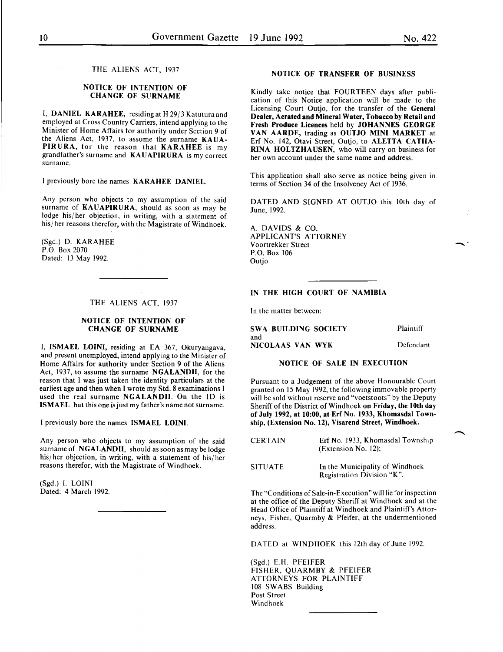THE ALIENS ACT, 1937

#### NOTICE OF INTENTION OF CHANGE OF SURNAME

I, DANIEL KARAHEE, residing at H 29/3 Katutura and employed at Cross Country Carriers, intend applying to the Minister of Home Affairs for authority under Section 9 of the Aliens Act, 1937, to assume the surname KAUA-PIRURA, for the reason that KARAHEE is my grandfather's surname and KAUAPIRURA is my correct surname.

I previously bore the names KARAHEE DANIEL.

Any person who objects to my assumption of the said surname of KAUAPIRURA, should as soon as may be lodge his/ her objection, in writing, with a statement of his/ her reasons therefor, with the Magistrate of Windhoek.

(Sgd.) D. KARAHEE P.O. Box 2070 Dated: 13 May 1992.

## THE ALIENS ACT, 1937

#### NOTICE OF INTENTION OF CHANGE OF SURNAME

I, ISMAEL LOINI, residing at EA 367, Okuryangava, and present unemployed, intend applying to the Minister of Home Affairs for authority under Section 9 of the Aliens Act, 1937, to assume the surname NGALANDII, for the reason that I was just taken the identity particulars at the earliest age and then when I wrote my Std. 8 examinations I used the real surname NGALANDII. On the ID is ISMAEL but this one is just my father's name not surname.

I previously bore the names ISMAEL LOINI.

Any person who objects to my assumption of the said surname of NGALANDII, should as soon as may be lodge his/ her objection, in writing, with a statement of his/ her reasons therefor, with the Magistrate of Windhoek.

(Sgd.) I. LOIN! Dated: 4 March 1992.

#### NOTICE OF TRANSFER OF BUSINESS

Kindly take notice that FOURTEEN days after publication of this Notice application will be made to the Licensing Court Outjo, for the transfer of the General Dealer, Aerated and Mineral Water, Tobacco by Retail and Fresh Produce Licences held by JOHANNES GEORGE VAN AARDE, trading as OUTJO MINI MARKET at Erf No. 142, Otavi Street, Outjo, to ALETTA CATHA-RINA HOLTZHAUSEN, who will carry on business for her own account under the same name and address.

This application shall also serve as notice being given in terms of Section 34 of the Insolvency Act of 1936.

DATED AND SIGNED AT OUTJO this lOth day of June, 1992.

A. DAVIDS & CO. APPLICANT'S ATTORNEY Voortrekker Street P.O. Box 106 **Outjo** 

#### IN THE HIGH COURT OF NAMIBIA

In the matter between:

SWA BUILDING SOCIETY and NICOLAAS VAN WYK Plaintiff Defendant

#### NOTICE OF SALE IN EXECUTION

Pursuant to a Judgement of the above Honourable Court granted on 15 May 1992, the following immovable property will be sold without reserve and "voetstoots" by the Deputy Sheriff of the District of Windhoek on Friday, the lOth day of July 1992, at 10:00, at Erf No. 1933, Khomasdal Township, (Extension No. 12), Visarend Street, Windhoek.

| <b>CERTAIN</b> | Erf No. 1933, Khomasdal Township<br>(Extension No. 12);       |
|----------------|---------------------------------------------------------------|
| <b>SITUATE</b> | In the Municipality of Windhoek<br>Registration Division "K". |

The "Conditions of Sale-in-Execution" will lie for inspection at the office of the Deputy Sheriff at Windhoek and at the Head Office of Plaintiff at Windhoek and Plaintiff's Attorneys, Fisher, Quarmby & Pfeifer, at the undermentioned address.

DATED at WINDHOEK this 12th day of June 1992.

(Sgd.) E.H. PFEIFER FISHER, QUARMBY & PFEIFER ATTORNEYS FOR PLAINTIFF 108 SWABS Building Post Street Windhoek

-·